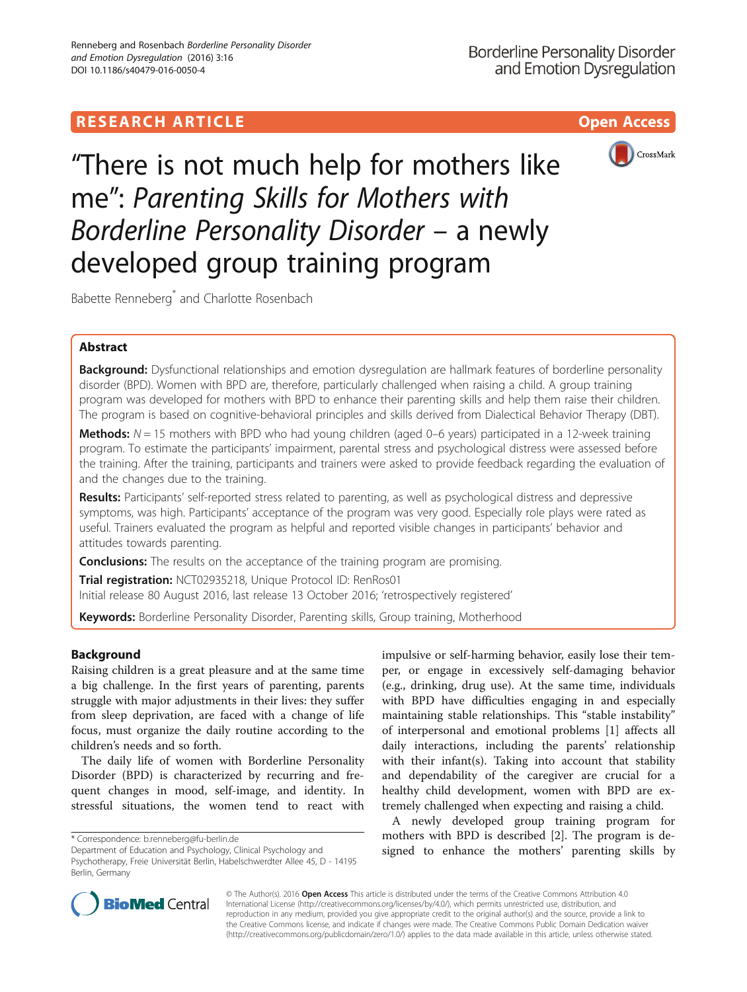# **RESEARCH ARTICLE Example 2018 12:00 Deep Access**



"There is not much help for mothers like me": Parenting Skills for Mothers with Borderline Personality Disorder – a newly developed group training program

Babette Renneberg\* and Charlotte Rosenbach

## Abstract

Background: Dysfunctional relationships and emotion dysregulation are hallmark features of borderline personality disorder (BPD). Women with BPD are, therefore, particularly challenged when raising a child. A group training program was developed for mothers with BPD to enhance their parenting skills and help them raise their children. The program is based on cognitive-behavioral principles and skills derived from Dialectical Behavior Therapy (DBT).

**Methods:**  $N = 15$  mothers with BPD who had young children (aged 0–6 years) participated in a 12-week training program. To estimate the participants' impairment, parental stress and psychological distress were assessed before the training. After the training, participants and trainers were asked to provide feedback regarding the evaluation of and the changes due to the training.

Results: Participants' self-reported stress related to parenting, as well as psychological distress and depressive symptoms, was high. Participants' acceptance of the program was very good. Especially role plays were rated as useful. Trainers evaluated the program as helpful and reported visible changes in participants' behavior and attitudes towards parenting.

**Conclusions:** The results on the acceptance of the training program are promising.

Trial registration: [NCT02935218](https://clinicaltrials.gov/ct2/show/NCT02935218?term=Parenting+Skills+for+Mothers+With+Borderline+Personality+Disorder%3A+A+Newly+Developed+Group+Training+Program&rank=1), Unique Protocol ID: RenRos01 Initial release 80 August 2016, last release 13 October 2016; 'retrospectively registered'

Keywords: Borderline Personality Disorder, Parenting skills, Group training, Motherhood

## Background

Raising children is a great pleasure and at the same time a big challenge. In the first years of parenting, parents struggle with major adjustments in their lives: they suffer from sleep deprivation, are faced with a change of life focus, must organize the daily routine according to the children's needs and so forth.

The daily life of women with Borderline Personality Disorder (BPD) is characterized by recurring and frequent changes in mood, self-image, and identity. In stressful situations, the women tend to react with

Department of Education and Psychology, Clinical Psychology and Psychotherapy, Freie Universität Berlin, Habelschwerdter Allee 45, D - 14195 Berlin, Germany

A newly developed group training program for mothers with BPD is described [\[2](#page-6-0)]. The program is designed to enhance the mothers' parenting skills by



© The Author(s). 2016 Open Access This article is distributed under the terms of the Creative Commons Attribution 4.0 International License [\(http://creativecommons.org/licenses/by/4.0/](http://creativecommons.org/licenses/by/4.0/)), which permits unrestricted use, distribution, and reproduction in any medium, provided you give appropriate credit to the original author(s) and the source, provide a link to the Creative Commons license, and indicate if changes were made. The Creative Commons Public Domain Dedication waiver [\(http://creativecommons.org/publicdomain/zero/1.0/](http://creativecommons.org/publicdomain/zero/1.0/)) applies to the data made available in this article, unless otherwise stated.

<sup>\*</sup> Correspondence: [b.renneberg@fu-berlin.de](mailto:b.renneberg@fu-berlin.de)

impulsive or self-harming behavior, easily lose their temper, or engage in excessively self-damaging behavior (e.g., drinking, drug use). At the same time, individuals with BPD have difficulties engaging in and especially maintaining stable relationships. This "stable instability" of interpersonal and emotional problems [[1\]](#page-6-0) affects all daily interactions, including the parents' relationship with their infant(s). Taking into account that stability and dependability of the caregiver are crucial for a healthy child development, women with BPD are extremely challenged when expecting and raising a child.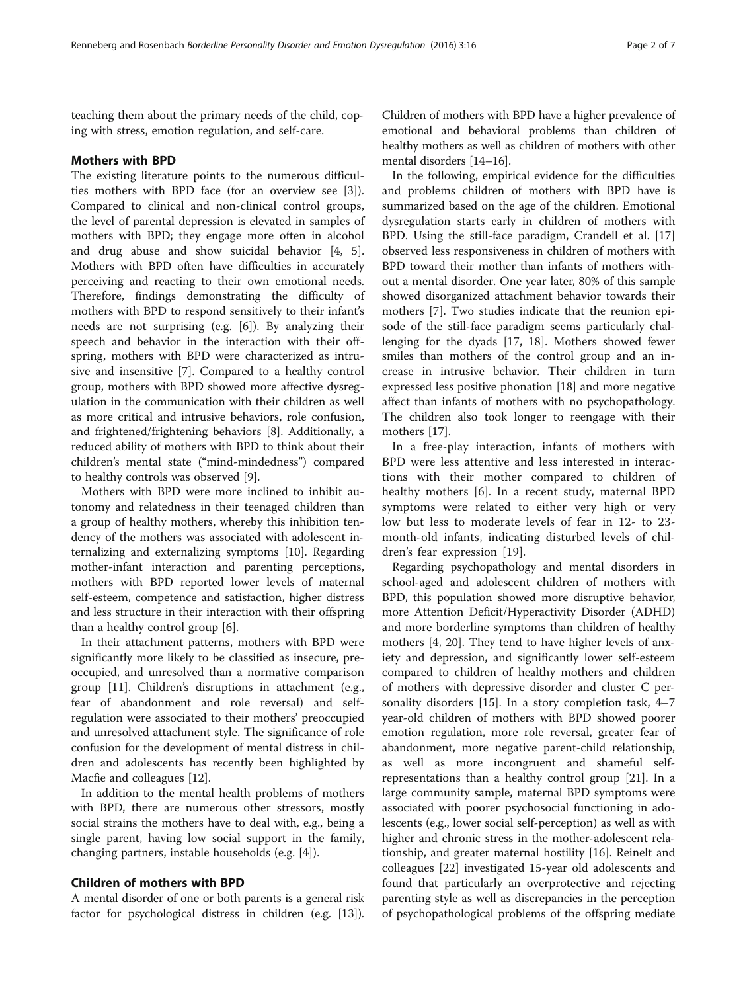teaching them about the primary needs of the child, coping with stress, emotion regulation, and self-care.

## Mothers with BPD

The existing literature points to the numerous difficulties mothers with BPD face (for an overview see [\[3](#page-6-0)]). Compared to clinical and non-clinical control groups, the level of parental depression is elevated in samples of mothers with BPD; they engage more often in alcohol and drug abuse and show suicidal behavior [\[4](#page-6-0), [5](#page-6-0)]. Mothers with BPD often have difficulties in accurately perceiving and reacting to their own emotional needs. Therefore, findings demonstrating the difficulty of mothers with BPD to respond sensitively to their infant's needs are not surprising (e.g. [\[6](#page-6-0)]). By analyzing their speech and behavior in the interaction with their offspring, mothers with BPD were characterized as intrusive and insensitive [\[7\]](#page-6-0). Compared to a healthy control group, mothers with BPD showed more affective dysregulation in the communication with their children as well as more critical and intrusive behaviors, role confusion, and frightened/frightening behaviors [[8\]](#page-6-0). Additionally, a reduced ability of mothers with BPD to think about their children's mental state ("mind-mindedness") compared to healthy controls was observed [\[9](#page-6-0)].

Mothers with BPD were more inclined to inhibit autonomy and relatedness in their teenaged children than a group of healthy mothers, whereby this inhibition tendency of the mothers was associated with adolescent internalizing and externalizing symptoms [[10\]](#page-6-0). Regarding mother-infant interaction and parenting perceptions, mothers with BPD reported lower levels of maternal self-esteem, competence and satisfaction, higher distress and less structure in their interaction with their offspring than a healthy control group [\[6](#page-6-0)].

In their attachment patterns, mothers with BPD were significantly more likely to be classified as insecure, preoccupied, and unresolved than a normative comparison group [\[11](#page-6-0)]. Children's disruptions in attachment (e.g., fear of abandonment and role reversal) and selfregulation were associated to their mothers' preoccupied and unresolved attachment style. The significance of role confusion for the development of mental distress in children and adolescents has recently been highlighted by Macfie and colleagues [\[12\]](#page-6-0).

In addition to the mental health problems of mothers with BPD, there are numerous other stressors, mostly social strains the mothers have to deal with, e.g., being a single parent, having low social support in the family, changing partners, instable households (e.g. [\[4](#page-6-0)]).

## Children of mothers with BPD

A mental disorder of one or both parents is a general risk factor for psychological distress in children (e.g. [[13](#page-6-0)]).

Children of mothers with BPD have a higher prevalence of emotional and behavioral problems than children of healthy mothers as well as children of mothers with other mental disorders [\[14](#page-6-0)–[16](#page-6-0)].

In the following, empirical evidence for the difficulties and problems children of mothers with BPD have is summarized based on the age of the children. Emotional dysregulation starts early in children of mothers with BPD. Using the still-face paradigm, Crandell et al. [[17](#page-6-0)] observed less responsiveness in children of mothers with BPD toward their mother than infants of mothers without a mental disorder. One year later, 80% of this sample showed disorganized attachment behavior towards their mothers [\[7](#page-6-0)]. Two studies indicate that the reunion episode of the still-face paradigm seems particularly challenging for the dyads [[17](#page-6-0), [18](#page-6-0)]. Mothers showed fewer smiles than mothers of the control group and an increase in intrusive behavior. Their children in turn expressed less positive phonation [[18\]](#page-6-0) and more negative affect than infants of mothers with no psychopathology. The children also took longer to reengage with their mothers [\[17](#page-6-0)].

In a free-play interaction, infants of mothers with BPD were less attentive and less interested in interactions with their mother compared to children of healthy mothers [\[6](#page-6-0)]. In a recent study, maternal BPD symptoms were related to either very high or very low but less to moderate levels of fear in 12- to 23 month-old infants, indicating disturbed levels of children's fear expression [[19\]](#page-6-0).

Regarding psychopathology and mental disorders in school-aged and adolescent children of mothers with BPD, this population showed more disruptive behavior, more Attention Deficit/Hyperactivity Disorder (ADHD) and more borderline symptoms than children of healthy mothers [\[4, 20](#page-6-0)]. They tend to have higher levels of anxiety and depression, and significantly lower self-esteem compared to children of healthy mothers and children of mothers with depressive disorder and cluster C personality disorders [[15\]](#page-6-0). In a story completion task, 4–7 year-old children of mothers with BPD showed poorer emotion regulation, more role reversal, greater fear of abandonment, more negative parent-child relationship, as well as more incongruent and shameful selfrepresentations than a healthy control group [[21\]](#page-6-0). In a large community sample, maternal BPD symptoms were associated with poorer psychosocial functioning in adolescents (e.g., lower social self-perception) as well as with higher and chronic stress in the mother-adolescent relationship, and greater maternal hostility [[16\]](#page-6-0). Reinelt and colleagues [\[22](#page-6-0)] investigated 15-year old adolescents and found that particularly an overprotective and rejecting parenting style as well as discrepancies in the perception of psychopathological problems of the offspring mediate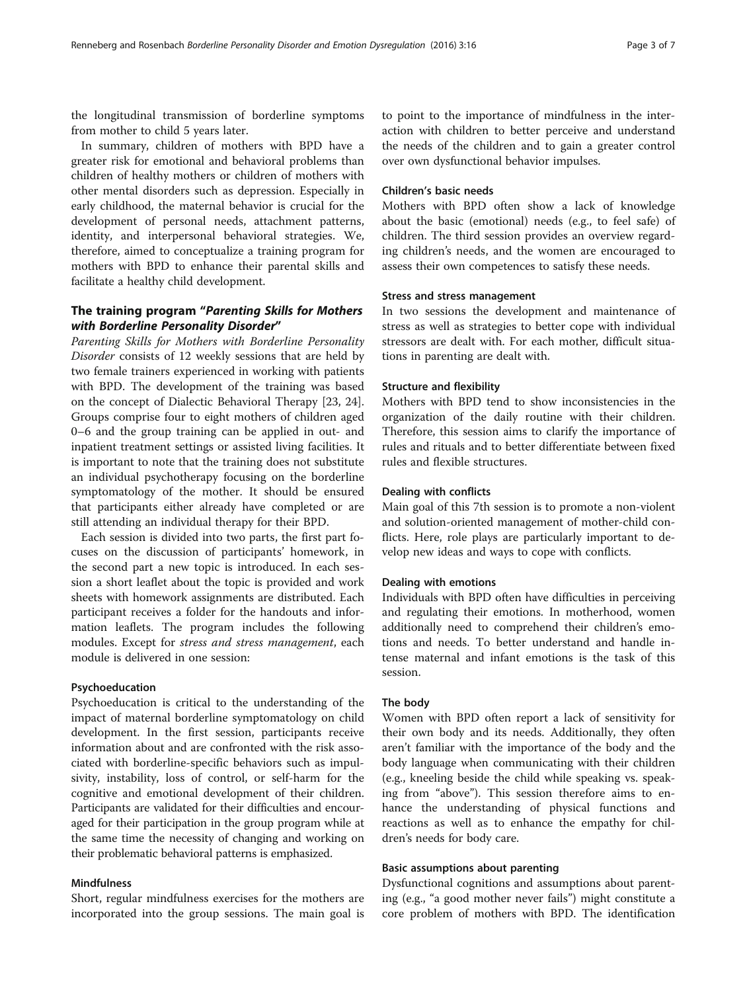the longitudinal transmission of borderline symptoms from mother to child 5 years later.

In summary, children of mothers with BPD have a greater risk for emotional and behavioral problems than children of healthy mothers or children of mothers with other mental disorders such as depression. Especially in early childhood, the maternal behavior is crucial for the development of personal needs, attachment patterns, identity, and interpersonal behavioral strategies. We, therefore, aimed to conceptualize a training program for mothers with BPD to enhance their parental skills and facilitate a healthy child development.

## The training program "Parenting Skills for Mothers with Borderline Personality Disorder"

Parenting Skills for Mothers with Borderline Personality Disorder consists of 12 weekly sessions that are held by two female trainers experienced in working with patients with BPD. The development of the training was based on the concept of Dialectic Behavioral Therapy [[23, 24](#page-6-0)]. Groups comprise four to eight mothers of children aged 0–6 and the group training can be applied in out- and inpatient treatment settings or assisted living facilities. It is important to note that the training does not substitute an individual psychotherapy focusing on the borderline symptomatology of the mother. It should be ensured that participants either already have completed or are still attending an individual therapy for their BPD.

Each session is divided into two parts, the first part focuses on the discussion of participants' homework, in the second part a new topic is introduced. In each session a short leaflet about the topic is provided and work sheets with homework assignments are distributed. Each participant receives a folder for the handouts and information leaflets. The program includes the following modules. Except for stress and stress management, each module is delivered in one session:

## Psychoeducation

Psychoeducation is critical to the understanding of the impact of maternal borderline symptomatology on child development. In the first session, participants receive information about and are confronted with the risk associated with borderline-specific behaviors such as impulsivity, instability, loss of control, or self-harm for the cognitive and emotional development of their children. Participants are validated for their difficulties and encouraged for their participation in the group program while at the same time the necessity of changing and working on their problematic behavioral patterns is emphasized.

## Mindfulness

Short, regular mindfulness exercises for the mothers are incorporated into the group sessions. The main goal is

to point to the importance of mindfulness in the interaction with children to better perceive and understand the needs of the children and to gain a greater control over own dysfunctional behavior impulses.

### Children's basic needs

Mothers with BPD often show a lack of knowledge about the basic (emotional) needs (e.g., to feel safe) of children. The third session provides an overview regarding children's needs, and the women are encouraged to assess their own competences to satisfy these needs.

## Stress and stress management

In two sessions the development and maintenance of stress as well as strategies to better cope with individual stressors are dealt with. For each mother, difficult situations in parenting are dealt with.

## Structure and flexibility

Mothers with BPD tend to show inconsistencies in the organization of the daily routine with their children. Therefore, this session aims to clarify the importance of rules and rituals and to better differentiate between fixed rules and flexible structures.

## Dealing with conflicts

Main goal of this 7th session is to promote a non-violent and solution-oriented management of mother-child conflicts. Here, role plays are particularly important to develop new ideas and ways to cope with conflicts.

## Dealing with emotions

Individuals with BPD often have difficulties in perceiving and regulating their emotions. In motherhood, women additionally need to comprehend their children's emotions and needs. To better understand and handle intense maternal and infant emotions is the task of this session.

## The body

Women with BPD often report a lack of sensitivity for their own body and its needs. Additionally, they often aren't familiar with the importance of the body and the body language when communicating with their children (e.g., kneeling beside the child while speaking vs. speaking from "above"). This session therefore aims to enhance the understanding of physical functions and reactions as well as to enhance the empathy for children's needs for body care.

## Basic assumptions about parenting

Dysfunctional cognitions and assumptions about parenting (e.g., "a good mother never fails") might constitute a core problem of mothers with BPD. The identification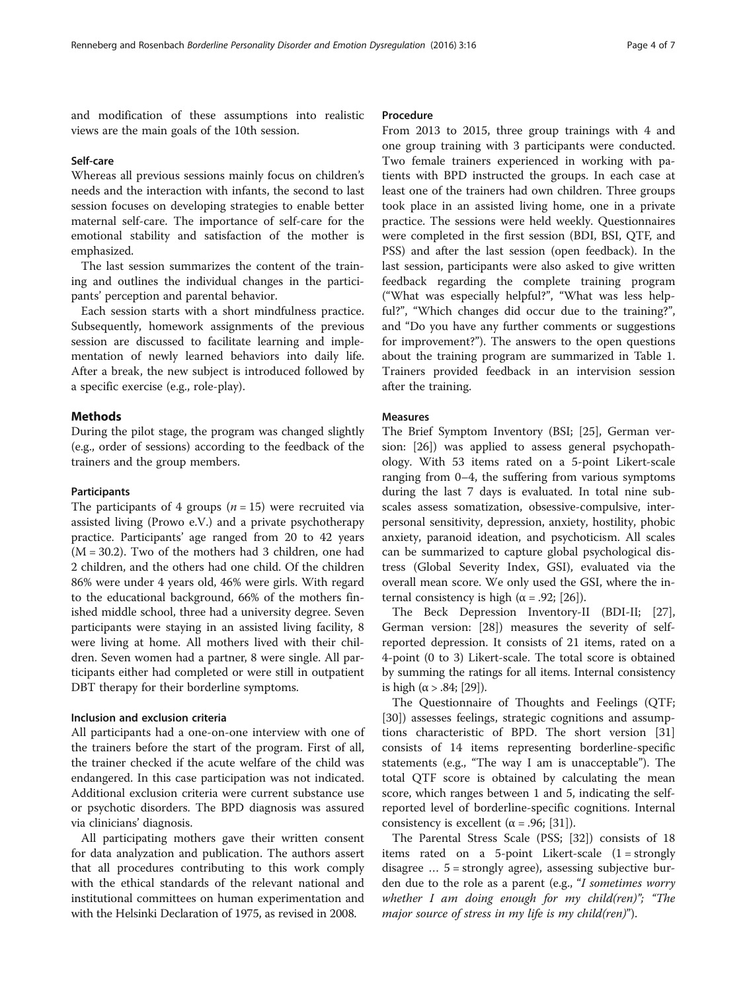and modification of these assumptions into realistic views are the main goals of the 10th session.

#### Self-care

Whereas all previous sessions mainly focus on children's needs and the interaction with infants, the second to last session focuses on developing strategies to enable better maternal self-care. The importance of self-care for the emotional stability and satisfaction of the mother is emphasized.

The last session summarizes the content of the training and outlines the individual changes in the participants' perception and parental behavior.

Each session starts with a short mindfulness practice. Subsequently, homework assignments of the previous session are discussed to facilitate learning and implementation of newly learned behaviors into daily life. After a break, the new subject is introduced followed by a specific exercise (e.g., role-play).

## Methods

During the pilot stage, the program was changed slightly (e.g., order of sessions) according to the feedback of the trainers and the group members.

## Participants

The participants of 4 groups  $(n = 15)$  were recruited via assisted living (Prowo e.V.) and a private psychotherapy practice. Participants' age ranged from 20 to 42 years  $(M = 30.2)$ . Two of the mothers had 3 children, one had 2 children, and the others had one child. Of the children 86% were under 4 years old, 46% were girls. With regard to the educational background, 66% of the mothers finished middle school, three had a university degree. Seven participants were staying in an assisted living facility, 8 were living at home. All mothers lived with their children. Seven women had a partner, 8 were single. All participants either had completed or were still in outpatient DBT therapy for their borderline symptoms.

## Inclusion and exclusion criteria

All participants had a one-on-one interview with one of the trainers before the start of the program. First of all, the trainer checked if the acute welfare of the child was endangered. In this case participation was not indicated. Additional exclusion criteria were current substance use or psychotic disorders. The BPD diagnosis was assured via clinicians' diagnosis.

All participating mothers gave their written consent for data analyzation and publication. The authors assert that all procedures contributing to this work comply with the ethical standards of the relevant national and institutional committees on human experimentation and with the Helsinki Declaration of 1975, as revised in 2008.

## Procedure

From 2013 to 2015, three group trainings with 4 and one group training with 3 participants were conducted. Two female trainers experienced in working with patients with BPD instructed the groups. In each case at least one of the trainers had own children. Three groups took place in an assisted living home, one in a private practice. The sessions were held weekly. Questionnaires were completed in the first session (BDI, BSI, QTF, and PSS) and after the last session (open feedback). In the last session, participants were also asked to give written feedback regarding the complete training program ("What was especially helpful?", "What was less helpful?", "Which changes did occur due to the training?", and "Do you have any further comments or suggestions for improvement?"). The answers to the open questions about the training program are summarized in Table [1](#page-4-0). Trainers provided feedback in an intervision session after the training.

## Measures

The Brief Symptom Inventory (BSI; [[25\]](#page-6-0), German version: [[26](#page-6-0)]) was applied to assess general psychopathology. With 53 items rated on a 5-point Likert-scale ranging from 0–4, the suffering from various symptoms during the last 7 days is evaluated. In total nine subscales assess somatization, obsessive-compulsive, interpersonal sensitivity, depression, anxiety, hostility, phobic anxiety, paranoid ideation, and psychoticism. All scales can be summarized to capture global psychological distress (Global Severity Index, GSI), evaluated via the overall mean score. We only used the GSI, where the internal consistency is high ( $α = .92$ ; [\[26](#page-6-0)]).

The Beck Depression Inventory-II (BDI-II; [\[27](#page-6-0)], German version: [[28\]](#page-6-0)) measures the severity of selfreported depression. It consists of 21 items, rated on a 4-point (0 to 3) Likert-scale. The total score is obtained by summing the ratings for all items. Internal consistency is high ( $\alpha$  > .84; [\[29](#page-6-0)]).

The Questionnaire of Thoughts and Feelings (QTF; [[30\]](#page-6-0)) assesses feelings, strategic cognitions and assumptions characteristic of BPD. The short version [[31](#page-6-0)] consists of 14 items representing borderline-specific statements (e.g., "The way I am is unacceptable"). The total QTF score is obtained by calculating the mean score, which ranges between 1 and 5, indicating the selfreported level of borderline-specific cognitions. Internal consistency is excellent ( $\alpha$  = .96; [[31\]](#page-6-0)).

The Parental Stress Scale (PSS; [\[32\]](#page-6-0)) consists of 18 items rated on a 5-point Likert-scale  $(1 = strongly$ disagree … 5 = strongly agree), assessing subjective burden due to the role as a parent (e.g., "I sometimes worry whether I am doing enough for my child(ren)"; "The major source of stress in my life is my child(ren)").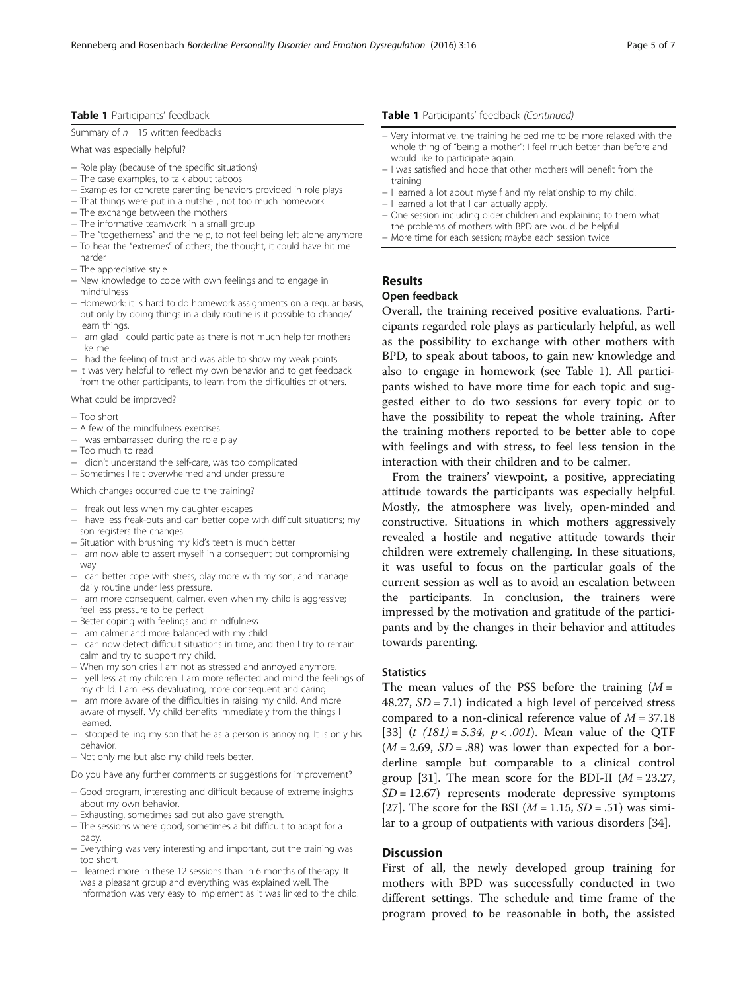### <span id="page-4-0"></span>Table 1 Participants' feedback

Summary of  $n = 15$  written feedbacks

What was especially helpful?

- − Role play (because of the specific situations)
- − The case examples, to talk about taboos
- − Examples for concrete parenting behaviors provided in role plays
- − That things were put in a nutshell, not too much homework
- − The exchange between the mothers
- − The informative teamwork in a small group
- − The "togetherness" and the help, to not feel being left alone anymore
- − To hear the "extremes" of others; the thought, it could have hit me harder
- − The appreciative style
- − New knowledge to cope with own feelings and to engage in mindfulness
- − Homework: it is hard to do homework assignments on a regular basis, but only by doing things in a daily routine is it possible to change/ learn things.
- − I am glad I could participate as there is not much help for mothers like me
- − I had the feeling of trust and was able to show my weak points.
- − It was very helpful to reflect my own behavior and to get feedback from the other participants, to learn from the difficulties of others.

What could be improved?

- − Too short
- − A few of the mindfulness exercises
- − I was embarrassed during the role play
- − Too much to read
- − I didn't understand the self-care, was too complicated
- − Sometimes I felt overwhelmed and under pressure

Which changes occurred due to the training?

- − I freak out less when my daughter escapes
- − I have less freak-outs and can better cope with difficult situations; my son registers the changes
- − Situation with brushing my kid's teeth is much better
- − I am now able to assert myself in a consequent but compromising way
- − I can better cope with stress, play more with my son, and manage daily routine under less pressure.
- − I am more consequent, calmer, even when my child is aggressive; I feel less pressure to be perfect
- − Better coping with feelings and mindfulness
- − I am calmer and more balanced with my child
- − I can now detect difficult situations in time, and then I try to remain calm and try to support my child.
- − When my son cries I am not as stressed and annoyed anymore.
- − I yell less at my children. I am more reflected and mind the feelings of my child. I am less devaluating, more consequent and caring.
- − I am more aware of the difficulties in raising my child. And more aware of myself. My child benefits immediately from the things I learned.
- − I stopped telling my son that he as a person is annoying. It is only his behavior.
- − Not only me but also my child feels better.

Do you have any further comments or suggestions for improvement?

- − Good program, interesting and difficult because of extreme insights about my own behavior.
- − Exhausting, sometimes sad but also gave strength.
- − The sessions where good, sometimes a bit difficult to adapt for a baby.
- − Everything was very interesting and important, but the training was too short.
- − I learned more in these 12 sessions than in 6 months of therapy. It was a pleasant group and everything was explained well. The information was very easy to implement as it was linked to the child.

### Table 1 Participants' feedback (Continued)

- − Very informative, the training helped me to be more relaxed with the whole thing of "being a mother": I feel much better than before and would like to participate again.
- − I was satisfied and hope that other mothers will benefit from the training
- − I learned a lot about myself and my relationship to my child.
- − I learned a lot that I can actually apply.
- − One session including older children and explaining to them what the problems of mothers with BPD are would be helpful
- − More time for each session; maybe each session twice

## Results

## Open feedback

Overall, the training received positive evaluations. Participants regarded role plays as particularly helpful, as well as the possibility to exchange with other mothers with BPD, to speak about taboos, to gain new knowledge and also to engage in homework (see Table 1). All participants wished to have more time for each topic and suggested either to do two sessions for every topic or to have the possibility to repeat the whole training. After the training mothers reported to be better able to cope with feelings and with stress, to feel less tension in the interaction with their children and to be calmer.

From the trainers' viewpoint, a positive, appreciating attitude towards the participants was especially helpful. Mostly, the atmosphere was lively, open-minded and constructive. Situations in which mothers aggressively revealed a hostile and negative attitude towards their children were extremely challenging. In these situations, it was useful to focus on the particular goals of the current session as well as to avoid an escalation between the participants. In conclusion, the trainers were impressed by the motivation and gratitude of the participants and by the changes in their behavior and attitudes towards parenting.

## **Statistics**

The mean values of the PSS before the training  $(M =$ 48.27,  $SD = 7.1$ ) indicated a high level of perceived stress compared to a non-clinical reference value of  $M = 37.18$ [[33\]](#page-6-0)  $(t (181) = 5.34, p < .001)$ . Mean value of the QTF  $(M = 2.69, SD = .88)$  was lower than expected for a borderline sample but comparable to a clinical control group [\[31](#page-6-0)]. The mean score for the BDI-II  $(M = 23.27,$  $SD = 12.67$ ) represents moderate depressive symptoms [[27\]](#page-6-0). The score for the BSI  $(M = 1.15, SD = .51)$  was similar to a group of outpatients with various disorders [\[34\]](#page-6-0).

## **Discussion**

First of all, the newly developed group training for mothers with BPD was successfully conducted in two different settings. The schedule and time frame of the program proved to be reasonable in both, the assisted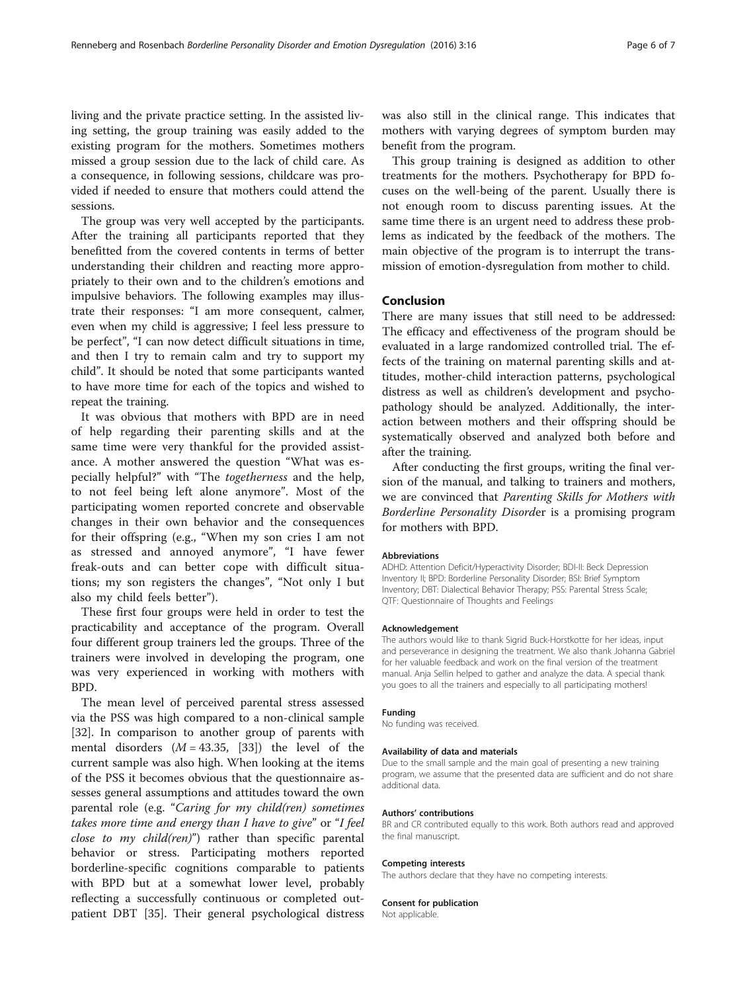living and the private practice setting. In the assisted living setting, the group training was easily added to the existing program for the mothers. Sometimes mothers missed a group session due to the lack of child care. As a consequence, in following sessions, childcare was provided if needed to ensure that mothers could attend the sessions.

The group was very well accepted by the participants. After the training all participants reported that they benefitted from the covered contents in terms of better understanding their children and reacting more appropriately to their own and to the children's emotions and impulsive behaviors. The following examples may illustrate their responses: "I am more consequent, calmer, even when my child is aggressive; I feel less pressure to be perfect", "I can now detect difficult situations in time, and then I try to remain calm and try to support my child". It should be noted that some participants wanted to have more time for each of the topics and wished to repeat the training.

It was obvious that mothers with BPD are in need of help regarding their parenting skills and at the same time were very thankful for the provided assistance. A mother answered the question "What was especially helpful?" with "The togetherness and the help, to not feel being left alone anymore". Most of the participating women reported concrete and observable changes in their own behavior and the consequences for their offspring (e.g., "When my son cries I am not as stressed and annoyed anymore", "I have fewer freak-outs and can better cope with difficult situations; my son registers the changes", "Not only I but also my child feels better").

These first four groups were held in order to test the practicability and acceptance of the program. Overall four different group trainers led the groups. Three of the trainers were involved in developing the program, one was very experienced in working with mothers with BPD.

The mean level of perceived parental stress assessed via the PSS was high compared to a non-clinical sample [[32\]](#page-6-0). In comparison to another group of parents with mental disorders  $(M = 43.35, [33])$  $(M = 43.35, [33])$  $(M = 43.35, [33])$  the level of the current sample was also high. When looking at the items of the PSS it becomes obvious that the questionnaire assesses general assumptions and attitudes toward the own parental role (e.g. "Caring for my child(ren) sometimes takes more time and energy than I have to give" or "I feel close to my child(ren)") rather than specific parental behavior or stress. Participating mothers reported borderline-specific cognitions comparable to patients with BPD but at a somewhat lower level, probably reflecting a successfully continuous or completed outpatient DBT [\[35\]](#page-6-0). Their general psychological distress

was also still in the clinical range. This indicates that mothers with varying degrees of symptom burden may benefit from the program.

This group training is designed as addition to other treatments for the mothers. Psychotherapy for BPD focuses on the well-being of the parent. Usually there is not enough room to discuss parenting issues. At the same time there is an urgent need to address these problems as indicated by the feedback of the mothers. The main objective of the program is to interrupt the transmission of emotion-dysregulation from mother to child.

## Conclusion

There are many issues that still need to be addressed: The efficacy and effectiveness of the program should be evaluated in a large randomized controlled trial. The effects of the training on maternal parenting skills and attitudes, mother-child interaction patterns, psychological distress as well as children's development and psychopathology should be analyzed. Additionally, the interaction between mothers and their offspring should be systematically observed and analyzed both before and after the training.

After conducting the first groups, writing the final version of the manual, and talking to trainers and mothers, we are convinced that Parenting Skills for Mothers with Borderline Personality Disorder is a promising program for mothers with BPD.

#### Abbreviations

ADHD: Attention Deficit/Hyperactivity Disorder; BDI-II: Beck Depression Inventory II; BPD: Borderline Personality Disorder; BSI: Brief Symptom Inventory; DBT: Dialectical Behavior Therapy; PSS: Parental Stress Scale; QTF: Questionnaire of Thoughts and Feelings

#### Acknowledgement

The authors would like to thank Sigrid Buck-Horstkotte for her ideas, input and perseverance in designing the treatment. We also thank Johanna Gabriel for her valuable feedback and work on the final version of the treatment manual. Anja Sellin helped to gather and analyze the data. A special thank you goes to all the trainers and especially to all participating mothers!

#### Funding

No funding was received.

#### Availability of data and materials

Due to the small sample and the main goal of presenting a new training program, we assume that the presented data are sufficient and do not share additional data.

#### Authors' contributions

BR and CR contributed equally to this work. Both authors read and approved the final manuscript.

#### Competing interests

The authors declare that they have no competing interests.

#### Consent for publication

Not applicable.